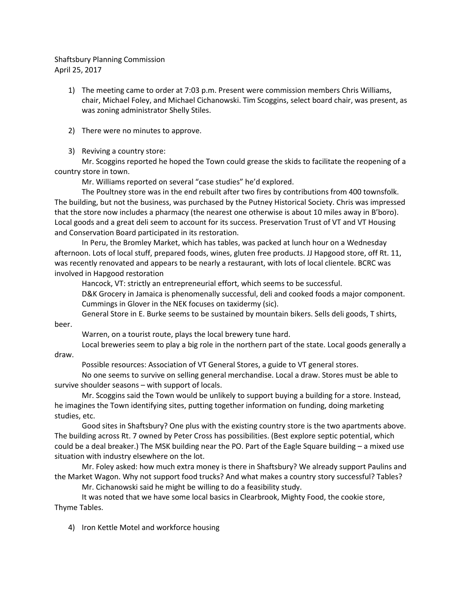## Shaftsbury Planning Commission April 25, 2017

- 1) The meeting came to order at 7:03 p.m. Present were commission members Chris Williams, chair, Michael Foley, and Michael Cichanowski. Tim Scoggins, select board chair, was present, as was zoning administrator Shelly Stiles.
- 2) There were no minutes to approve.
- 3) Reviving a country store:

Mr. Scoggins reported he hoped the Town could grease the skids to facilitate the reopening of a country store in town.

Mr. Williams reported on several "case studies" he'd explored.

The Poultney store was in the end rebuilt after two fires by contributions from 400 townsfolk. The building, but not the business, was purchased by the Putney Historical Society. Chris was impressed that the store now includes a pharmacy (the nearest one otherwise is about 10 miles away in B'boro). Local goods and a great deli seem to account for its success. Preservation Trust of VT and VT Housing and Conservation Board participated in its restoration.

In Peru, the Bromley Market, which has tables, was packed at lunch hour on a Wednesday afternoon. Lots of local stuff, prepared foods, wines, gluten free products. JJ Hapgood store, off Rt. 11, was recently renovated and appears to be nearly a restaurant, with lots of local clientele. BCRC was involved in Hapgood restoration

Hancock, VT: strictly an entrepreneurial effort, which seems to be successful.

D&K Grocery in Jamaica is phenomenally successful, deli and cooked foods a major component. Cummings in Glover in the NEK focuses on taxidermy (sic).

General Store in E. Burke seems to be sustained by mountain bikers. Sells deli goods, T shirts,

beer.

Warren, on a tourist route, plays the local brewery tune hard.

Local breweries seem to play a big role in the northern part of the state. Local goods generally a draw.

Possible resources: Association of VT General Stores, a guide to VT general stores.

No one seems to survive on selling general merchandise. Local a draw. Stores must be able to survive shoulder seasons – with support of locals.

Mr. Scoggins said the Town would be unlikely to support buying a building for a store. Instead, he imagines the Town identifying sites, putting together information on funding, doing marketing studies, etc.

Good sites in Shaftsbury? One plus with the existing country store is the two apartments above. The building across Rt. 7 owned by Peter Cross has possibilities. (Best explore septic potential, which could be a deal breaker.) The MSK building near the PO. Part of the Eagle Square building – a mixed use situation with industry elsewhere on the lot.

Mr. Foley asked: how much extra money is there in Shaftsbury? We already support Paulins and the Market Wagon. Why not support food trucks? And what makes a country story successful? Tables?

Mr. Cichanowski said he might be willing to do a feasibility study.

It was noted that we have some local basics in Clearbrook, Mighty Food, the cookie store, Thyme Tables.

4) Iron Kettle Motel and workforce housing